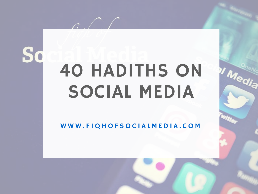# S

# 40 HADITHS ON SOCIAL MEDIA

**Il Media** 

 $\mathcal{L}$ 

WWW.FIQHOFSOCIALMEDIA.COM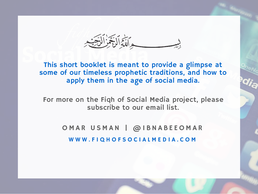ه اللَّّةُ الْبَعَمْزِ الْلَّحَيّْ

This short booklet is meant to provide a glimpse at some of our timeless prophetic traditions, and how to apply them in the age of social media.

[For more on the Fiqh of Social Media project, please](http://eepurl.com/UkLqL) subscribe to our email list.

> OMAR USMAN | @IBNABEEOMAR WWW.FIQHOFSOCIALMEDIA.COM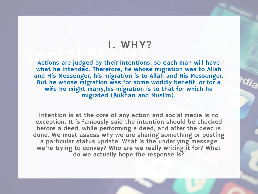#### 1. WHY?

Actions are judged by their intentions, so each man will have what he intended. Therefore, he whose migration was to Allah [and His Messenger, his migration is to Allah and His Messenger.](http://sunnah.com/nawawi40/1) But he whose migration was for some worldly benefit, or for a wife he might marry,his migration is to that for which he migrated (Bukharī and Muslim).

Intention is at the core of any action and social media is no exception. It is famously said the intention should be checked before a deed, while performing a deed, and after the deed is done. We must assess why we are sharing something or posting a particular status update. What is the underlying message we're trying to convey? Who are we really writing it for? What do we actually hope the response is?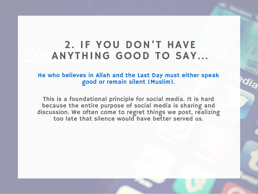# 2. IF YOU DON'T HAVE ANYTHING GOOD TO SAY...

[He who believes in Allah and the Last Day must either speak](http://sunnah.com/riyadussaliheen/18/1) good or remain silent (Muslim).

This is a foundational principle for social media. It is hard because the entire purpose of social media is sharing and discussion. We often come to regret things we post, realizing too late that silence would have better served us.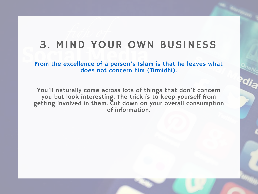# 3. MIND YOUR OWN BUSINESS

[From the excellence of a person's Islam is that he leaves what](http://sunnah.com/tirmidhi/36/14) does not concern him (Tirmidhi).

You'll naturally come across lots of things that don't concern you but look interesting. The trick is to keep yourself from getting involved in them. Cut down on your overall consumption of information.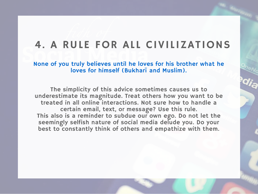# 4. A RULE FOR ALL CIVILIZATIONS

[None of you truly believes until he loves for his brother what he](http://sunnah.com/nawawi40/13) loves for himself (Bukharī and Muslim).

The simplicity of this advice sometimes causes us to underestimate its magnitude. Treat others how you want to be treated in all online interactions. Not sure how to handle a certain email, text, or message? Use this rule. This also is a reminder to subdue our own ego. Do not let the seemingly selfish nature of social media delude you. Do your best to constantly think of others and empathize with them.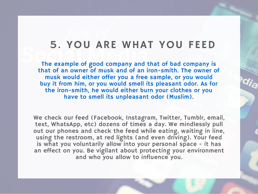#### 5. YOU ARE WHAT YOU FEED

The example of good company and that of bad company is [that of an owner of musk and of an iron-smith. The owner of](http://sunnah.com/muslim/45/189) musk would either offer you a free sample, or you would buy it from him, or you would smell its pleasant odor. As for the iron-smith, he would either burn your clothes or you have to smell its unpleasant odor (Muslim).

We check our feed (Facebook, Instagram, Twitter, Tumblr, email, text, WhatsApp, etc) dozens of times a day. We mindlessly pull out our phones and check the feed while eating, waiting in line, using the restroom, at red lights (and even driving). Your feed is what you voluntarily allow into your personal space - it has an effect on you. Be vigilant about protecting your environment and who you allow to influence you.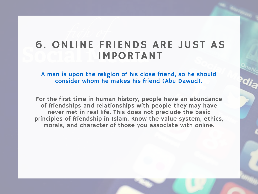# 6. ONLINE FRIENDS ARE JUST AS IMPORTANT

[A man is upon the religion of his close friend, so he should](http://sunnah.com/abudawud/43/61) consider whom he makes his friend (Abu Dawud).

For the first time in human history, people have an abundance of friendships and relationships with people they may have never met in real life. This does not preclude the basic principles of friendship in Islam. Know the value system, ethics, morals, and character of those you associate with online.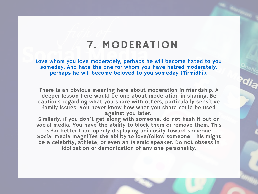#### 7. MODERATION

[Love whom you love moderately, perhaps he will become hated to you](http://sunnah.com/urn/721230) someday. And hate the one for whom you have hatred moderately, perhaps he will become beloved to you someday (Tirmidhī).

There is an obvious meaning here about moderation in friendship. A deeper lesson here would be one about moderation in sharing. Be cautious regarding what you share with others, particularly sensitive family issues. You never know how what you share could be used against you later.

Similarly, if you don't get along with someone, do not hash it out on social media. You have the ability to block them or remove them. This is far better than openly displaying animosity toward someone.

Social media magnifies the ability to love/follow someone. This might be a celebrity, athlete, or even an Islamic speaker. Do not obsess in idolization or demonization of any one personality.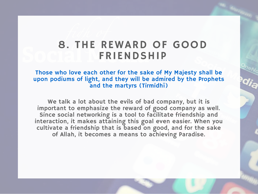### 8. THE REWARD OF GOOD FRIENDSHIP

Those who love each other for the sake of My Majesty shall be [upon podiums of light, and they will be admired by the Prophets](http://sunnah.com/tirmidhi/36/87) and the martyrs (Tirmidhī)

We talk a lot about the evils of bad company, but it is important to emphasize the reward of good company as well. Since social networking is a tool to facilitate friendship and interaction, it makes attaining this goal even easier. When you cultivate a friendship that is based on good, and for the sake of Allah, it becomes a means to achieving Paradise.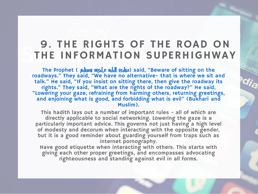# 9. THE RIGHTS OF THE ROAD ON THE INFORMATION SUPERHIGHWAY

The Prophet ( الله عليه الله عن الله عليه الله عن الله عن الله عن الله عن الله عن الله عن الله عن ال [roadways." They said, "We have no alternative- that is where we sit and](http://sunnah.com/urn/2054830) talk." He said, "If you insist on sitting there, then give the roadway its rights." They said, "What are the rights of the roadway?" He said, "Lowering your gaze, refraining from harming others, returning greetings, and enjoining what is good, and forbidding what is evil" (Bukharī and Muslim).

This hadith lays out a number of important rules - all of which are directly applicable to social networking. Lowering the gaze is a particularly important advice. This governs not just having a high level of modesty and decorum when interacting with the opposite gender, but it is a good reminder about guarding yourself from traps such as internet pornography.

Have good etiquette when interacting with others. This starts with giving each other proper greetings, and encompasses advocating righteousness and standing against evil in all forms.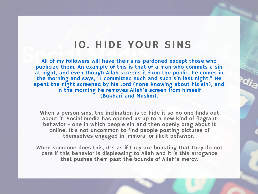#### 10. HIDE YOUR SINS

All of my followers will have their sins pardoned except those who publicize them. An example of this is that of a man who commits a sin at night, and even though Allah screens it from the public, he comes in the morning and says, "I committed such and such sin last night." He [spent the night screened by his Lord \(none knowing about his sin\), and](http://sunnah.com/riyadussaliheen/1/241) in the morning he removes Allah's screen from himself (Bukharī and Muslim).

When a person sins, the inclination is to hide it so no one finds out about it. Social media has opened us up to a new kind of flagrant behavior - one in which people sin and then openly brag about it online. It's not uncommon to find people posting pictures of themselves engaged in immoral or illicit behavior.

When someone does this, it's as if they are boasting that they do not care if this behavior is displeasing to Allah and it is this arrogance that pushes them past the bounds of Allah's mercy.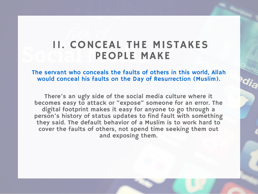## 11. CONCEAL THE MISTAKES PEOPLE MAKE

[The servant who conceals the faults of others in this world, Allah](http://sunnah.com/muslim/45/93) would conceal his faults on the Day of Resurrection (Muslim).

There's an ugly side of the social media culture where it becomes easy to attack or "expose" someone for an error. The digital footprint makes it easy for anyone to go through a person's history of status updates to find fault with something they said. The default behavior of a Muslim is to work hard to cover the faults of others, not spend time seeking them out and exposing them.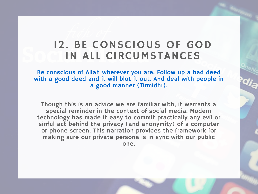# 12. BE CONSCIOUS OF GOD IN ALL CIRCUMSTANCES

Be conscious of Allah wherever you are. Follow up a bad deed [with a good deed and it will blot it out. And deal with people in](http://sunnah.com/urn/672900) a good manner (Tirmidhī).

Though this is an advice we are familiar with, it warrants a special reminder in the context of social media. Modern technology has made it easy to commit practically any evil or sinful act behind the privacy (and anonymity) of a computer or phone screen. This narration provides the framework for making sure our private persona is in sync with our public one.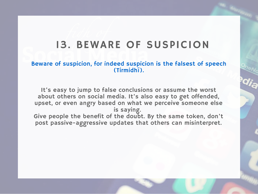# 13. BEWARE OF SUSPICION

#### [Beware of suspicion, for indeed suspicion is the falsest of speech](http://sunnah.com/urn/672910) (Tirmidhī).

It's easy to jump to false conclusions or assume the worst about others on social media. It's also easy to get offended, upset, or even angry based on what we perceive someone else is saying.

Give people the benefit of the doubt. By the same token, don't post passive-aggressive updates that others can misinterpret.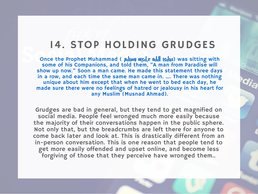#### 14. STOP HOLDING GRUDGES

Once the Prophet Muhammad ( وسلم عليه الله عليه الله عليه الله عليه الله عليه الله عليه الله عليه الله عليه ال some of his Companions, and told them, "A man from Paradise will show up now." Soon a man came. He made this statement three days in a row, and each time the same man came in. …. There was nothing unique about him except that when he went to bed each day, he [made sure there were no feelings of hatred or jealousy in his heart for](http://www.eaalim.com/download/index.php/blog/entry/he-is-man-from-jannah-paradise-why.html) any Muslim (Musnad Ahmad).

Grudges are bad in general, but they tend to get magnified on social media. People feel wronged much more easily because the majority of their conversations happen in the public sphere. Not only that, but the breadcrumbs are left there for anyone to come back later and look at. This is drastically different from an in-person conversation. This is one reason that people tend to get more easily offended and upset online, and become less forgiving of those that they perceive have wronged them..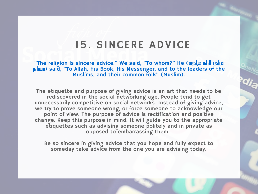# 15. SINCERE ADVICE

"The religion is sincere advice." We said, "To whom?" He ( $\mu$   $\mu$ pulum [\(said, "To Allah, His Book, His Messenger, and to the leaders of the](http://sunnah.com/nawawi40/7) Muslims, and their common folk" (Muslim).

The etiquette and purpose of giving advice is an art that needs to be rediscovered in the social networking age. People tend to get unnecessarily competitive on social networks. Instead of giving advice, we try to prove someone wrong, or force someone to acknowledge our point of view. The purpose of advice is rectification and positive change. Keep this purpose in mind. It will guide you to the appropriate etiquettes such as advising someone politely and in private as opposed to embarrassing them.

Be so sincere in giving advice that you hope and fully expect to someday take advice from the one you are advising today.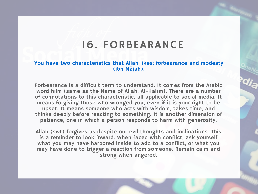## 16. FORBEARANCE

#### [You have two characteristics that Allah likes: forbearance and modesty](http://sunnah.com/urn/1292900) (ibn Mājah).

Forbearance is a difficult term to understand. It comes from the Arabic word hilm (same as the Name of Allah, Al-Halīm). There are a number of connotations to this characteristic, all applicable to social media. It means forgiving those who wronged you, even if it is your right to be upset. It means someone who acts with wisdom, takes time, and thinks deeply before reacting to something. It is another dimension of patience, one in which a person responds to harm with generosity.

Allah (swt) forgives us despite our evil thoughts and inclinations. This is a reminder to look inward. When faced with conflict, ask yourself what you may have harbored inside to add to a conflict, or what you may have done to trigger a reaction from someone. Remain calm and strong when angered.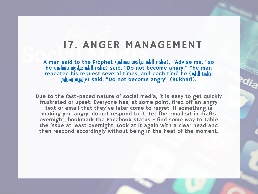#### 17. ANGER MANAGEMENT

A man said to the Prophet (الله عليه الله عن الله عن الله عن الله عن الله عن الله عن الله عن الله عن الله عن ا he (سلم عليه الله عليه الله عن الله عن المعامل الله عن المعنى المعلمات المعنى المعنى المعنى المعنى ا [repeated his request several times, and each time he \(](http://sunnah.com/nawawi40/16) الله صلى ال p (pull algerical) said, "Do not become angry" (Bukharī).

Due to the fast-paced nature of social media, it is easy to get quickly frustrated or upset. Everyone has, at some point, fired off an angry text or email that they've later come to regret. If something is making you angry, do not respond to it. Let the email sit in drafts overnight, bookmark the Facebook status - find some way to table the issue at least overnight. Look at it again with a clear head and then respond accordingly without being in the heat of the moment.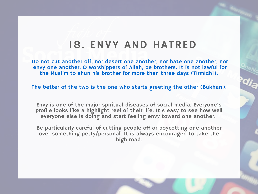#### 18. ENVY AND HATRED

[Do not cut another off, nor desert one another, nor hate one another, nor](http://sunnah.com/urn/672380) envy one another. O worshippers of Allah, be brothers. It is not lawful for the Muslim to shun his brother for more than three days (Tirmidhī).

[The better of the two is the one who starts greeting the other \(Bukharī\).](http://sunnah.com/bukhari/79/11)

Envy is one of the major spiritual diseases of social media. Everyone's profile looks like a highlight reel of their life. It's easy to see how well everyone else is doing and start feeling envy toward one another.

Be particularly careful of cutting people off or boycotting one another over something petty/personal. It is always encouraged to take the high road.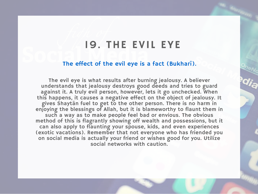#### 19. THE EVIL EYE

#### [The effect of the evil eye is a fact \(Bukharī\).](http://sunnah.com/bukhari/76/55)

The evil eye is what results after burning jealousy. A believer understands that jealousy destroys good deeds and tries to guard against it. A truly evil person, however, lets it go unchecked. When this happens, it causes a negative effect on the object of jealousy. It gives Shaytān fuel to get to the other person. There is no harm in enjoying the blessings of Allah, but it is blameworthy to flaunt them in such a way as to make people feel bad or envious. The obvious method of this is flagrantly showing off wealth and possessions, but it can also apply to flaunting your spouse, kids, and even experiences (exotic vacations). Remember that not everyone who has friended you on social media is actually your friend or wishes good for you. Utilize social networks with caution.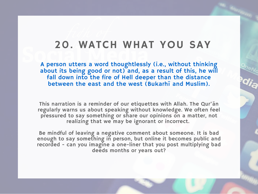#### 20. WATCH WHAT YOU SAY

A person utters a word thoughtlessly (i.e., without thinking [about its being good or not\) and, as a result of this, he will](http://sunnah.com/riyadussaliheen/18/4) fall down into the fire of Hell deeper than the distance between the east and the west (Bukarhī and Muslim).

This narration is a reminder of our etiquettes with Allah. The Qur'ān regularly warns us about speaking without knowledge. We often feel pressured to say something or share our opinions on a matter, not realizing that we may be ignorant or incorrect.

Be mindful of leaving a negative comment about someone. It is bad enough to say something in person, but online it becomes public and recorded - can you imagine a one-liner that you post multiplying bad deeds months or years out?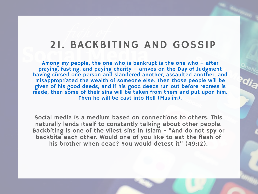#### 21. BACKBITING AND GOSSIP

Among my people, the one who is bankrupt is the one who – after praying, fasting, and paying charity – arrives on the Day of Judgment [having cursed one person and slandered another, assaulted another, and](http://sunnah.com/riyadussaliheen/1/218) misappropriated the wealth of someone else. Then those people will be given of his good deeds, and if his good deeds run out before redress is made, then some of their sins will be taken from them and put upon him. Then he will be cast into Hell (Muslim).

Social media is a medium based on connections to others. This naturally lends itself to constantly talking about other people. Backbiting is one of the vilest sins in Islam - "And do not spy or backbite each other. Would one of you like to eat the flesh of his brother when dead? You would detest it" (49:12).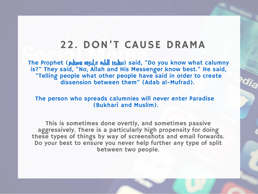# 22. DON'T CAUSE DRAMA

The Prophet (pulum ng ele ndd gub) said, "Do you know what calumny [is?" They said, "No, Allah and His Messenger know best." He said,](http://sunnah.com/urn/2204250) "Telling people what other people have said in order to create dissension between them" (Adab al-Mufrad).

[The person who spreads calumnies will never enter Paradise](http://sunnah.com/riyadussaliheen/18/26)  (Bukharī and Muslim).

This is sometimes done overtly, and sometimes passive aggressively. There is a particularly high propensity for doing these types of things by way of screenshots and email forwards. Do your best to ensure you never help further any type of split between two people.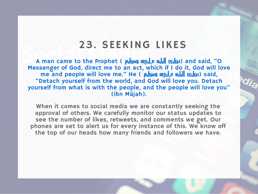## 23. SEEKING LIKES

A man came to the Prophet ( محاليه الله عليها عليه الله ) and said, "O [Messenger of God, direct me to an act, which if I do it, God will love](http://sunnah.com/nawawi40/31) me and people will love me." He ( بالله هليه الله عنه الله ) said, "Detach yourself from the world, and God will love you. Detach yourself from what is with the people, and the people will love you" (ibn Mājah).

When it comes to social media we are constantly seeking the approval of others. We carefully monitor our status updates to see the number of likes, retweets, and comments we get. Our phones are set to alert us for every instance of this. We know off the top of our heads how many friends and followers we have.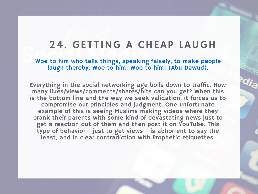#### 24. GETTING A CHEAP LAUGH

[Woe to him who tells things, speaking falsely, to make people](http://sunnah.com/abudawud/43/218) laugh thereby. Woe to him! Woe to him! (Abu Dawud).

Everything in the social networking age boils down to traffic. How many likes/views/comments/shares/hits can you get? When this is the bottom line and the way we seek validation, it forces us to compromise our principles and judgment. One unfortunate example of this is seeing Muslims making videos where they prank their parents with some kind of devastating news just to get a reaction out of them and then post it on YouTube. This type of behavior - just to get views - is abhorrent to say the least, and in clear contradiction with Prophetic etiquettes.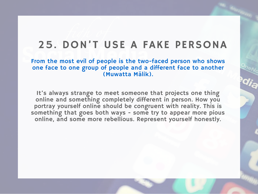# 25. DON'T USE A FAKE PERSONA

[From the most evil of people is the two-faced person who shows](http://sunnah.com/urn/418880) one face to one group of people and a different face to another (Muwatta Mālik).

It's always strange to meet someone that projects one thing online and something completely different in person. How you portray yourself online should be congruent with reality. This is something that goes both ways - some try to appear more pious online, and some more rebellious. Represent yourself honestly.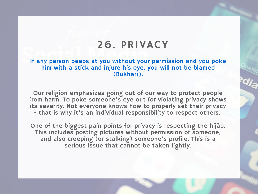## 26. PRIVACY

[If any person peeps at you without your permission and you poke](http://sunnah.com/bukhari/87/41) him with a stick and injure his eye, you will not be blamed (Bukharī).

Our religion emphasizes going out of our way to protect people from harm. To poke someone's eye out for violating privacy shows its severity. Not everyone knows how to properly set their privacy - that is why it's an individual responsibility to respect others.

One of the biggest pain points for privacy is respecting the hijāb. This includes posting pictures without permission of someone, and also creeping (or stalking) someone's profile. This is a serious issue that cannot be taken lightly.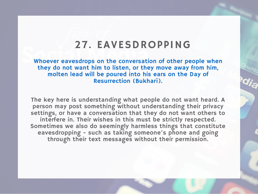### 27. EAVESDROPPING

Whoever eavesdrops on the conversation of other people when they do not want him to listen, or they move away from him, molten lead will be poured into his ears on the Day of Resurrection (Bukharī).

The key here is understanding what people do not want heard. A person may post something without understanding their privacy settings, or have a conversation that they do not want others to interfere in. Their wishes in this must be strictly respected. Sometimes we also do seemingly harmless things that constitute eavesdropping - such as taking someone's phone and going through their text messages without their permission.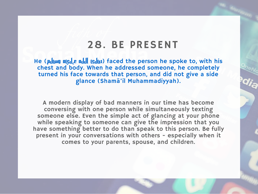#### 28. BE PRESENT

He (puly ngde ndd gdu) faced the person he spoke to, with his [chest and body. When he addressed someone, he completely](http://sunnah.com/urn/1800060) turned his face towards that person, and did not give a side glance (Shamā'il Muhammadiyyah).

A modern display of bad manners in our time has become conversing with one person while simultaneously texting someone else. Even the simple act of glancing at your phone while speaking to someone can give the impression that you have something better to do than speak to this person. Be fully present in your conversations with others - especially when it comes to your parents, spouse, and children.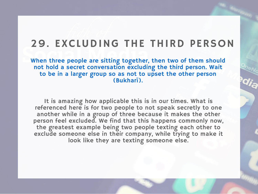# 29. EXCLUDING THE THIRD PERSON

[When three people are sitting together, then two of them should](http://sunnah.com/bukhari/79/62) not hold a secret conversation excluding the third person. Wait to be in a larger group so as not to upset the other person (Bukharī).

It is amazing how applicable this is in our times. What is referenced here is for two people to not speak secretly to one another while in a group of three because it makes the other person feel excluded. We find that this happens commonly now, the greatest example being two people texting each other to exclude someone else in their company, while trying to make it look like they are texting someone else.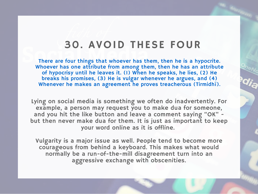### 30. AVOID THESE FOUR

There are four things that whoever has them, then he is a hypocrite. [Whoever has one attribute from among them, then he has an attribute](http://sunnah.com/tirmidhi/40/27) of hypocrisy until he leaves it. (1) When he speaks, he lies, (2) He breaks his promises, (3) He is vulgar whenever he argues, and (4) Whenever he makes an agreement he proves treacherous (Tirmidhī).

Lying on social media is something we often do inadvertently. For example, a person may request you to make dua for someone, and you hit the like button and leave a comment saying "OK" but then never make dua for them. It is just as important to keep your word online as it is offline.

Vulgarity is a major issue as well. People tend to become more courageous from behind a keyboard. This makes what would normally be a run-of-the-mill disagreement turn into an aggressive exchange with obscenities.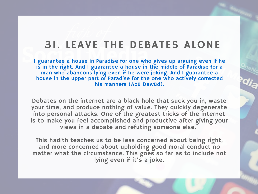# 31. LEAVE THE DEBATES ALONE

[I guarantee a house in Paradise for one who gives up arguing even if he](http://sunnah.com/abudawud/43/28) is in the right. And I guarantee a house in the middle of Paradise for a man who abandons lying even if he were joking. And I guarantee a house in the upper part of Paradise for the one who actively corrected his manners (Abū Dawūd).

Debates on the internet are a black hole that suck you in, waste your time, and produce nothing of value. They quickly degenerate into personal attacks. One of the greatest tricks of the internet is to make you feel accomplished and productive after giving your views in a debate and refuting someone else.

This hadith teaches us to be less concerned about being right, and more concerned about upholding good moral conduct no matter what the circumstance. This goes so far as to include not lying even if it's a joke.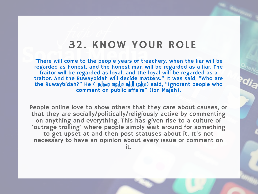### 32. KNOW YOUR ROLE

"There will come to the people years of treachery, when the liar will be regarded as honest, and the honest man will be regarded as a liar. The traitor will be regarded as loyal, and the loyal will be regarded as a [traitor. And the Ruwaybidah will decide matters." It was said, "Who are](http://sunnah.com/urn/1291360) the Ruwaybidah?" He (  $\mu$ ဖြစ္၊ ။ဖြစ္ပြာ ။ဖြစ္ပြဲဖြာ) said, "Ignorant people who comment on public affairs" (ibn Mājah).

People online love to show others that they care about causes, or that they are socially/politically/religiously active by commenting on anything and everything. This has given rise to a culture of 'outrage trolling' where people simply wait around for something to get upset at and then post statuses about it. It's not necessary to have an opinion about every issue or comment on it.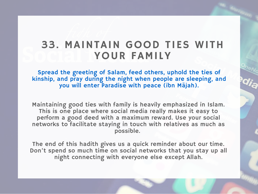## 33. MAINTAIN GOOD TIES WITH YOUR FAMILY

Spread the greeting of Salam, feed others, uphold the ties of [kinship, and pray during the night when people are sleeping, and](http://sunnah.com/urn/1273590) you will enter Paradise with peace (ibn Mājah).

Maintaining good ties with family is heavily emphasized in Islam. This is one place where social media really makes it easy to perform a good deed with a maximum reward. Use your social networks to facilitate staying in touch with relatives as much as possible.

The end of this hadith gives us a quick reminder about our time. Don't spend so much time on social networks that you stay up all night connecting with everyone else except Allah.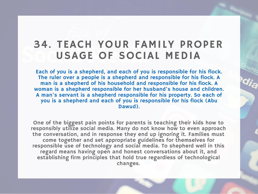# 34. TEACH YOUR FAMILY PROPER USAGE OF SOCIAL MEDIA

Each of you is a shepherd, and each of you is responsible for his flock. The ruler over a people is a shepherd and responsible for his flock. A man is a shepherd of his household and responsible for his flock. A [woman is a shepherd responsible for her husband's house and children.](http://sunnah.com/abudawud/20/1) A man's servant is a shepherd responsible for his property. So each of you is a shepherd and each of you is responsible for his flock (Abu Dawud).

One of the biggest pain points for parents is teaching their kids how to responsibly utilize social media. Many do not know how to even approach the conversation, and in response they end up ignoring it. Families must come together and set appropriate guidelines for themselves for responsible use of technology and social media. To shepherd well in this regard means having open and honest conversations about it, and establishing firm principles that hold true regardless of technological changes.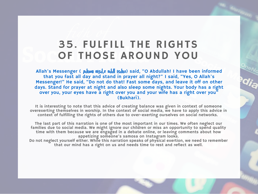# 35. FULFILL THE RIGHTS OF THOSE AROUND YOU

Allah's Messenger ( pulw night not light said, "O Abdullah! I have been informed that you fast all day and stand in prayer all night?" I said, "Yes, O Allah's Messenger!" He said, "Do not do that! Fast some days, and leave it off on other [days. Stand for prayer at night and also sleep some nights. Your body has a right](http://sunnah.com/bukhari/67/133) over you, your eyes have a right over you and your wife has a right over you" (Bukharī).

It is interesting to note that this advice of creating balance was given in context of someone overexerting themselves in worship. In the context of social media, we have to apply this advice in context of fulfilling the rights of others due to over-exerting ourselves on social networks.

The last part of this narration is one of the most important in our times. We often neglect our families due to social media. We might ignore our children or miss an opportunity to spend quality time with them because we are engaged in a debate online, or leaving comments about how appetizing someone's samosa on Instagram looks.

Do not neglect yourself either. While this narration speaks of physical exertion, we need to remember that our mind has a right on us and needs time to rest and reflect as well.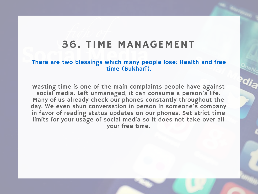#### 36. TIME MANAGEMENT

#### [There are two blessings which many people lose: Health and free](http://sunnah.com/bukhari/81/1) time (Bukharī).

Wasting time is one of the main complaints people have against social media. Left unmanaged, it can consume a person's life. Many of us already check our phones constantly throughout the day. We even shun conversation in person in someone's company in favor of reading status updates on our phones. Set strict time limits for your usage of social media so it does not take over all your free time.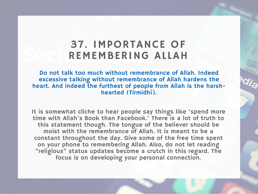# 37. IMPORTANCE OF REMEMBERING ALLAH

Do not talk too much without remembrance of Allah. Indeed excessive talking without remembrance of Allah hardens the [heart. And indeed the furthest of people from Allah is the harsh](http://sunnah.com/tirmidhi/36/109)hearted (Tirmidhī).

It is somewhat cliche to hear people say things like 'spend more time with Allah's Book than Facebook.' There is a lot of truth to this statement though. The tongue of the believer should be moist with the remembrance of Allah. It is meant to be a constant throughout the day. Give some of the free time spent on your phone to remembering Allah. Also, do not let reading "religious" status updates become a crutch in this regard. The focus is on developing your personal connection.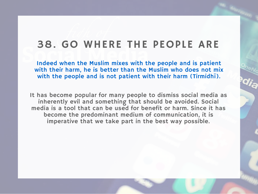# 38. GO WHERE THE PEOPLE ARE

Indeed when the Muslim mixes with the people and is patient [with their harm, he is better than the Muslim who does not mix](http://sunnah.com/urn/678130) with the people and is not patient with their harm (Tirmidhī).

It has become popular for many people to dismiss social media as inherently evil and something that should be avoided. Social media is a tool that can be used for benefit or harm. Since it has become the predominant medium of communication, it is imperative that we take part in the best way possible.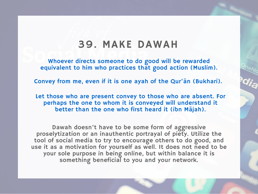#### 39. MAKE DAWAH

[Whoever directs someone to do good will be rewarded](http://sunnah.com/riyadussaliheen/1/173) equivalent to him who practices that good action (Muslim).

[Convey from me, even if it is one ayah of the Qur'ān \(Bukhari\).](http://sunnah.com/riyadussaliheen/13/5)

[Let those who are present convey to those who are absent. For](http://sunnah.com/urn/1252320) perhaps the one to whom it is conveyed will understand it better than the one who first heard it (ibn Mājah).

Dawah doesn't have to be some form of aggressive proselytization or an inauthentic portrayal of piety. Utilize the tool of social media to try to encourage others to do good, and use it as a motivation for yourself as well. It does not need to be your sole purpose in being online, but within balance it is something beneficial to you and your network.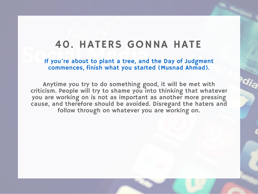# 40. HATERS GONNA HATE

If you're about to plant a tree, and the Day of Judgment commences, finish what you started (Musnad Ahmad).

Anytime you try to do something good, it will be met with [criticism. People will try to shame you into thinking that whatever](http://bit.ly/shamegrenade) you are working on is not as important as another more pressing cause, and therefore should be avoided. Disregard the haters and follow through on whatever you are working on.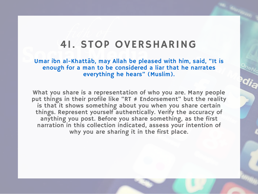#### 41. STOP OVERSHARING

[Umar ibn al-Khattāb, may Allah be pleased with him, said, "It is](http://sunnah.com/muslim/introduction/8) enough for a man to be considered a liar that he narrates everything he hears" (Muslim).

What you share is a representation of who you are. Many people put things in their profile like "RT ≠ Endorsement" but the reality is that it shows something about you when you share certain things. Represent yourself authentically. Verify the accuracy of anything you post. Before you share something, as the first narration in this collection indicated, assess your intention of why you are sharing it in the first place.